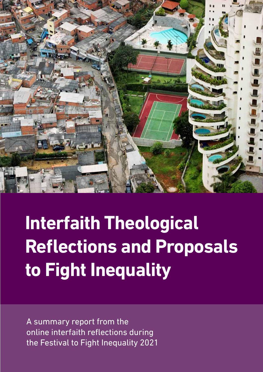

# **Interfaith Theological Reflections and Proposals to Fight Inequality**

A summary report from the online interfaith reflections during the Festival to Fight Inequality 2021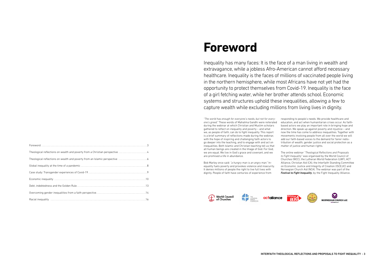



Bob Marley once said: *"a hungry man is an angry man."* Inequality fuels poverty and provokes violence and insecurity. It denies millions of people the right to live full lives with dignity. People of faith have centuries of experience from Churches (WCC), the Lutheran World Federation (LWF), ACT Alliance, Christian Aid (CA), the Interfaith Standing Committee on Economic Justice and Integrity of Creation (ISCEJIC) and Norwegian Church Aid (NCA). The webinar was part of the *Festival to Fight Inequality*, by the Fight Inequality Alliance.





actalliance

*"The world has enough for everyone's needs, but not for everyone's greed."* These words of Mahatma Gandhi were reiterated education, and act when humanitarian crises occur. As faithduring the webinar at which Christian and Muslim scholars gathered to reflect on inequality and poverty – and what we, as people of faith, can do to fight inequality. This report is a brief summary of reflections made during the webinar, with the hope of inspiring and challenging faith actors to go deeper into the teaching, and to engage with and act on inequalities. Both Islamic and Christian teaching tell us that all human beings are created in the Image of God. For God, we are equal. We live in God's grace and covenant, and we are promised a life in abundance. responding to people's needs. We provide healthcare and based actors we play an important role in bringing hope and direction. We speak up against poverty and injustice – and now the time has come to address inequalities. Together with movements involving people from all over the world we will add our faith-based voices to the demand for fairer redistribution of wealth, gender justice and social protection as a matter of justice and human rights. The online webinar *"Theological Reflections and Proposals to Fight Inequality"* was organised by the World Council of

Inequality has many faces: It is the face of a man living in wealth and extravagance, while a jobless Afro-American cannot afford necessary healthcare. Inequality is the faces of millions of vaccinated people living in the northern hemisphere, while most Africans have not yet had the opportunity to protect themselves from Covid-19. Inequality is the face of a girl fetching water, while her brother attends school. Economic systems and structures uphold these inequalities, allowing a few to capture wealth while excluding millions from living lives in dignity.

### **Foreword**

| Theological reflections on wealth and poverty from a Christian perspective 4                                   |  |
|----------------------------------------------------------------------------------------------------------------|--|
| Theological reflections on wealth and poverty from an Islamic perspective                                      |  |
|                                                                                                                |  |
|                                                                                                                |  |
|                                                                                                                |  |
|                                                                                                                |  |
|                                                                                                                |  |
| Racial inequality (and according to the control of the control of the control of the control of the control of |  |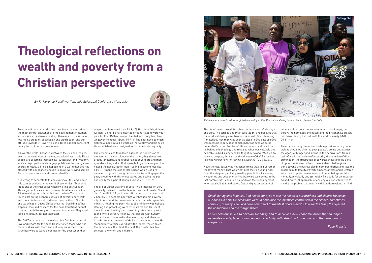*Faith leaders unite to address global inequality at the Alternative Mining Indaba. Photo: Bellah Zulu/NCA*

Poverty and human deprivation have been recognised as the most central challenges to the development of human society since the dawn of history. There is also the issue of wealth; its creation, possession and distribution, and our attitude towards it. Poverty is considered a major constraint on any form of human development.

All over the world, disparities between the rich and the poor, even in the wealthiest of nations, are widening sharply. Fewer people are becoming increasingly "successful" and "wealthy", while a disproportionately large population is becoming even poorer. Ironically, all this is happening in a world that God has blessed with abundance; enough to allow every living soul on Earth to have a decent and comfortable life.

It is wrong to separate faith and everyday life – and indeed this cannot be done in the world of economics. "Economic life is one of the chief areas where we find out our faith." This argument is accepted by many Christians, since the Bible teachings in both the Old and the New Testament touch a lot on the economic issues of poverty and wealth and the attitudes we should have towards them. The life and teachings of Jesus Christ show that God Himself has a special love and concern for the poor. Christians cannot compartmentalise religion in economic matters. They must take a holistic, integrated approach.

The Old Testament clearly teaches that God has a special love and regard for the poor. He instructed those who had more to share with them and not to oppress them. The Israelites were to leave gleanings for the poor when they

reaped and harvested (Lev. 19:9, 10). He admonished them further: "Do not be hard-hearted or tight-fisted toward your poor brother. Rather be open handed and freely lend him whatever he needs" (Deut. 15:7–8). The poor have as much right to a place in God's world as the wealthy and the rules He established were designed to promote social equality.

The prophets also thundered against the oppression of the poor. As the conscience of the nation, they denounced greedy landlords, land grabbers, liquor vendors and moneylenders. They called God's people to genuine religion that helped the needy, rather than trusting in ceremonies (Isa. 58:6-7). Among the sins of Israel upon which God pronounced judgment through Amos were trampling upon the poor, cheating with dishonest scales and buying the poor and needy for a pair of sandals (Amos 2:7, 8; 8:5,6).

The life of Christ was one of poverty, an impression very generally derived from the familiar words of Isaiah 53 and also from Phil. 2:7 (took Himself the form of a slave) and 2 Cor. 8:9 (He became poor that yet through his poverty might become rich). Jesus was a poor man who spent his ministry helping the poor. His public ministry was holistic. Healing and preaching were inseparable and He spent more time on healing than preaching. His ministry was to the whole person. He knew that people with hungry stomachs and diseased bodies need physical liberation in order to hear the word of God – of his saving grace. He stooped low to raise everybody; the lepers, the cripples, the demoniacs, the blind, the deaf, the prostitutes, tax collectors, women and children.



The life of Jesus turned the tables on the values of His day – and ours. The scribes and Pharisees taught and believed that material well-being went hand-in-hand with God's blessing. A materially rich man was seen as close to God because God was blessing Him. A poor or sick man was seen as being under God's curse. But Jesus' life and ministry showed the lie behind this theology and revealed what was valuable and desirable in God's kingdom. He taught by saying: *"Blessed are you who are poor, for yours is the Kingdom of God. Blessed are you who hunger now, for you will be satisfied" (Lk. 6:20, 21).* Nevertheless, Jesus was not condemning wealth, but rather the love of money. That was what kept the rich young ruler from the Kingdom, and why wealthy people like Zaccheus, Nicodemus and Joseph of Arimathea were welcomed. In the last parable that Jesus told, He portrays the final judgment, when we shall all stand before God and give an account of what we did to Jesus who came to us as the hungry, the thirsty, the homeless, the naked and the prisoner. So closely did Jesus identify Himself with the world's needy (Matt. 25:31–46). Poverty has many dimensions. While priorities vary, greater weight should be given to poor people's crying out against the agony of hunger and sickness, the deprivations from a lack of work, the anxiety of insecurity, the injustice of discrimination, the frustration of powerlessness and the denial of opportunities to children. These indeed challenge us to think beyond the narrow disciplinary boundaries and face the problem in its totality. Poverty hinders, affects and interferes with the complete development of human beings socially, mentally, physically and spiritually. This calls for an integrated and practical approach in teaching our constituencies to handle the problem of poverty with kingdom values in mind.

# **Theological reflections on wealth and poverty from a Christian perspective**

*Speak out against injustice. God needs our eyes to see the needs of our brothers and sisters. He needs our hands to help. He needs our voice to denounce the injustices committed in the silence, sometimes complicit, of many. The Lord needs our heart to manifest God's merciful love for the least, the rejected, the abandoned and the marginalised.* 

*Let us help ourselves to develop solidarity and to achieve a new economic order that no longer generates waste, by enriching economic activity with attention to the poor and the reduction of inequality.*

*Pope Francis*

*By Fr Florence Rutaihwa, Tanzania Episcopal Conference (Tanzania)*

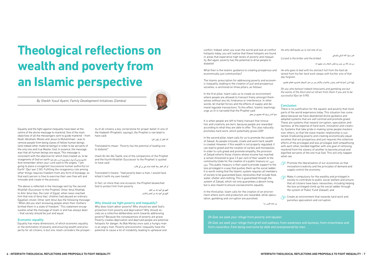Equality and the fight against inequality have been at the centre of the divine message to mankind. One of the main objectives of all the messengers sent to guide mankind – from Noah, Abraham, Moses and Jesus to Muhammad – was to remove people from being slaves of fellow human beings (and indeed other material beings) in order to be servants of the only one and true Master, God. In essence, the message was that all human beings are equal. This message is consistent with the objective for which God created us, to be .(ةفي لخ ضرأل اي ف ليمَاج ينإ كبر لاق ذإو) vicegerents of God on earth And remember when your Lord said to the angels "I am going to place a vicegerent (successive human authority) on Earth" (Qur'aan 2:30). Fulfilling the vicegerency role among other things requires freedom from any form of bondage, so that each person is free to exercise their own free will and innovate and create in the process.

Translated it means: "Had poverty been a man, I would have killed it (with my own hands).

The above is reflected in the message sent by the second Khalifah (Successor to the Prophet), Omar ibnul Khattab, to Amr ibnul Aas, the ruler of Egypt, when news reached him that one of ibnul Aas' children had abused an ordinary Egyptian citizen. Omar sent ibnul Aas the following message: "When did you start enslaving people when their mothers birthed them in a state of freedom." This statement encapsulates what the message of Islam is and has always been – that society should be just and equal.

#### Economic equality

What then is the Islamic guidance to creating prosperous and economically just communities?

Equality has many dimensions, of which economic equality, or the elimination of poverty and ensuring wealth and prosperity for all citizens, is but one. Islam considers the prosperity of all citizens a key cornerstone for proper belief. In one of the Hadeeth (Prophetic sayings), the Prophet is narrated to have said:

كاد الفقر أن يكون كفرا

Translated to mean: *"Poverty has the potential of leading one to disbelief."*

Imam Ali ibn Abi Taalib, one of the companions of the Prophet and the fourth Khalifah (Successor to the Prophet) is quoted to have said:

لو كان الفقر رجلا لقتلته (إمام على بن أي طالب

In fact, on more than one occasion, the Prophet beseeched God to protect him from poverty.

> اللهم إين أعوذ بك من الفقر اللهم إين أعوذ بك من العجز والكسل

#### Why should we fight poverty and inequality?

Why does Islam abhor poverty? Why should we seek God's protection from poverty and deprivation? Why should society as a collective deliberately work towards addressing poverty? Because the consequences of poverty are grave. Poverty creates deprivation and deprived people are potential hotspots for danger. As Bob Marley once said, a hungry man is an angry man. Poverty and economic inequality have the potential to cause a lot of instability, leading to upheaval and

conflict. Indeed, when you scan the world and look at conflict hotspots today, you will realise that these hotspots are found in areas that experience high levels of poverty and inequality. But again, poverty has the potential to drive people to disbelief.

The Islamic prescription for addressing poverty and economic inequality, leading to the creation of just and prosperous societies, is anchored on three pillars, as follows:

> $\sqrt{\frac{1}{77}}$  Make it compulsory for the wealthy and privileged in society to contribute to public social welfare and ensure that all citizens have basic necessities, including helping the less privileged climb up the social ladder through the system of Public Fund (Zakaat); and



Create an environment that rewards hard work and punishes speculation and corruption.

In the first pillar, Islam calls us to create an environment where people are allowed to transact freely amongst themselves without any let, hindrance or interference. In other words, let market forces and the effects of supply and demand regulate transactions. To this effect, Islamic teachings urge us (it is narrated that the Prophet said

دعوا الناس يرزق الله بعضهم من بعض

It is when people are left to freely transact that innovation and creativity are born, because people are rewarded according to what they are able to offer. This also naturally promotes hard work, which potentially grows GDP.

In the second pillar, Islam calls for us to promote the system of Zakaat. As people innovate, create and work hard, wealth is created. However, if this wealth is not properly regulated, it can lead to greed and the creation of cartels and monopolies. In order to curb greed and promote empathy, the provision of Zakaat exhorts those citizens whose income has reached a certain threshold to give 2.5 per cent of their wealth to the community/state for the creation of a public treasury or تيب لاملا. This public treasury is then used to provide support to the less privileged in a way that pushes them up the social ladder. It is worth noting that the Islamic system requires all members of society to be guaranteed basic necessities that include food, water, shelter and clothing. This is guaranteed through the system of Zakaat, which not only guarantees a decent living, but is also meant to ensure socioeconomic equality.

In the third pillar, Islam calls for the creation of an environment where work and production are rewarded, while speculation, gambling and corruption are punished.

من غشنا فليس منا

*He who defrauds us is not one of us.*

لعن رسول الله الراشي والمرتشي

*Cursed is the briber and the bribed.*

من بات كاال من عمل يده/طلب الحالل بات مغفورا له

*He who goes to bed with his stomach full from the food obtained from his/her hard work sleeps with his/her sins of that day forgiven.*

يأيها الذين آمنوا إمًا الخمر والميسر والانصاب والأزلام رجز من عمل الشيطان فاجتنبوه لعلكم تفلحون

*Oh you who believe! Indeed intoxicants and gambling are but the works of the Devil and so refrain from them if you are to be successful* (Qur'an 5:90).

#### **Conclusion**

There is no justification for the squalor and poverty that most parts of the world experience today. This situation has come about because we have abandoned divine guidance and adopted systems that are self-centred and promote greed. These are systems that reward corruption, speculation and laziness, at the expense of hard work, innovation and creativity. Systems that take pride in making some people masters over others, so that the slave-master relationship is sustained. Eradicating poverty and creating economically equal societies that are prosperous and just requires the collective efforts of the privileged and less privileged, both empathising with each other, bonded together with one goal of removing mankind from the slavery of another to become proud and dignified servants of the one true God. This will only happen when we:



# **Theological reflections on wealth and poverty from an Islamic perspective**

*By Sheikh Yusuf Ayami, Family Development Initiatives (Zambia)*



*Oh God, we seek your refuge from poverty and squalor.* 

*Oh God, we seek your refuge from grief and sadness, from weakness and laziness, from miserliness and from cowardice, from being overcome by debt and overpowered by men.*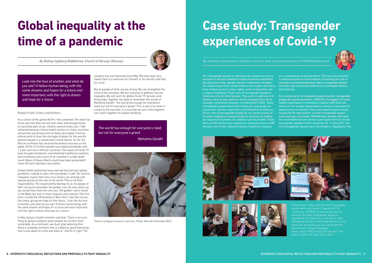People of faith. Sisters and brothers.

As a citizen of the global North, I feel ashamed. The west has more vaccines than we will ever need, and enough doses to vaccinate each of our citizens several times over. I feel ashamed because I know health workers in many countries around the world have still not been vaccinated. From an ethical point of view, the shortage of doses for the world's poorest people is a catastrophic moral failure. So far, the African continent has received the fewest vaccines on the globe. Of the 3.5 million people vaccinated worldwide, only 1.6 per cent live in African countries. The waves of Covid-19 have brought lockdowns, overwhelmed healthcare systems, lost livelihoods and, worst of all, resulted in a high death count. Many of these effects could have been prevented if more Africans had been vaccinated.

Global health authorities have warned that during a global pandemic, nobody is safe until everybody is safe. Yet vaccine inequality means that new virus strains can emerge and spread quickly to the rest of the world. This is not their responsibility. The responsibility belongs to us. As people of faith, we must remember the golden rule: do unto others as you would have them do unto you. The golden rule is found in the Bible, but also in most religions and cultures. The first time I visited the UN building in New York, I saw the inscription there, giving me hope for the future. *"Look into the face of another, and what do you see? A fellow human being, with the same dreams and hopes for a future and more important, with the right to dream and hope for a future."*

In May, Kenya's health minister said that: "there is no such thing as global solidarity when people are at their most vulnerable. As a continent, we must stop believing that there is anybody out there who is a Biblical, good Samaritan, that is just about to come and help us." And he is right. The

situation has not improved since May. We have seen very clearly that it is everyone for himself, or for herself, and God for us all.

But as people of faith, we are strong. We can strengthen the voice of the voiceless. We will continue to address vaccine inequality. We will work for global Covid-19 recovery and bring hope. Together we have to remember the words of Mahatma Gandhi: "the world has enough for everyone's need, but not for everyone's greed." This is also true when it comes to the vaccines. It is true that we are in this together. Let's work together for global solidarity.

For transgender people in Indonesia the unequal access to vaccines is not only related to a lack of vaccine availability, but also due to their gender identity. Indonesian transgender people experience verbal violence and stigma and many have limited access to basic rights, such as education and a regular livelihood. 75 per cent of transgender people in

Indonesia only do informal jobs. They work in salons and in streets, many as sex workers, which increases the risk of sexually transmitted diseases, including HIV & AIDS . Many transgender people leave their homes at a young age because their families reject them, and therefore as many as 60 per cent of transgender people do not having access to ID cards, leading to unequal access to vaccines, as Indonesia requires ID numbers for people to get vaccinated. Those who are HIV positive also experience reduced access to ARV services, due to the reduced ordinary healthcare capacity









as a consequence of the pandemic. This has also resulted in reduced access to free condoms, increasing the risk of sexually transmitted diseases. Many transgender people lost their jobs and several died due to prolonged distress and sickness.

As a response to the inequality experienced by transgender people during the pandemic, YAKKUM, the biggest Christian health organisation in Indonesia, together with local networks of civil society organisations, started to advocate for equal access to vaccines. They advocated the government to ease the ID requirement, so that transgender people could also get vaccinated. YAKKUM also worked with shelters and healthcare personnel to persuade them to include transgender people in their response. On 11 May 2021, the first transgender people were vaccinated in Yogyakarta City.



## **Global inequality at the time of a pandemic**



### **Case study: Transgender experiences of Covid-19**

*Look into the face of another, and what do you see? A fellow human being, with the same dreams and hopes for a future and more important, with the right to dream and hope for a future.*

> *The world has enough for everyone's need, but not for everyone's greed.*

*Mahatma Gandhi*

*By Bishop Ingeborg Midttømme, Church of Norway (Norway) By Arshinta Soemarsono, Director of Comm Devt and Humanitarian of YAKKUM (Indonesia)*

*Photos from 11 May, when the first transgender people were vaccinated in Yogyakarta City. advocacy for older transgender people in Yogyakarta City. Hopefully, in the future, older transgender people outside Yogyakarta City and those who do not have an ID card will get the vaccine soon" (Anggi Rosangge). Shara, middle and right: Shinta Ratri*



*There is unequal access to vaccines. Photo: Marcelo Schneider/WCC*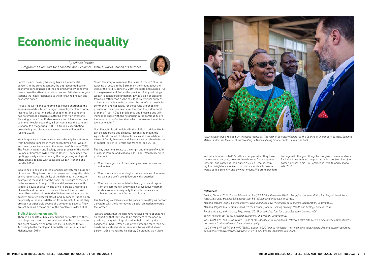- 
- 
- 
- 
- 
- 
- 

For Christians, poverty has long been a fundamental concern. In the current context, the unprecedented socioeconomic consequences of the ongoing Covid-19 pandemic have drawn the attention of churches and faith-based organisations that have responded to the intertwined health and economic crises.

Across the world, the pandemic has indeed sharpened the experience of destitution, hunger, unemployment and homelessness for a great majority of people. Yet the pandemic has not imposed economic suffering evenly on everyone. Shockingly, data from Forbes reveals that billionaires have seen their wealth expand by 68 per cent since the pandemic began, to a staggering USD 13.5 trillion, exacerbating pre-existing and already outrageous levels of inequality (Collins 2021).

Wealth appears to have received considerably less attention from Christian thinkers in more recent times. Yet, "wealth and poverty are two sides of the same coin" (Mshana 2007). The Poverty, Wealth and Ecology study process of the World Council of Churches (WCC) from 2006-2013 concluded that fighting poverty and addressing the burgeoning ecological crisis entails dealing with excessive wealth (Mshana and Peralta 2015).

Wealth has to be considered alongside poverty for a number of reasons: "They have common causes and integrally related characteristics: the ability of the rich to earn a living, for example, is the inability of the poor; the strength of the rich is the weakness of the poor. Worse still, excessive wealth is itself a cause of poverty. The drive to create a rising tide of wealth and become rich does not benefit the rich and poor alike, so that 'all boats rise.' It does not bring an end to poverty, but often exacerbates it. And by concentrating solely on poverty, attention is deflected from the rich. At most, they are seen as a possible source of a solution to poverty. They are not seen as a major part of the problem" (Taylor 2003).

The key questions relate to the origin and the use of wealth (Raiser in Peralta and Mshana, eds. 2016). Wealth becomes problematic:

#### Biblical teachings on wealth

There is no dearth of biblical teachings on wealth and these teachings are rooted in the conviction that God is the creator and great provider who promises life-in-fullness for all. According to the theologian Konrad Raiser (in Peralta and Mshana, eds. 2016):

"From the story of manna in the desert (Exodus 16) to the teaching of Jesus in the Sermon on the Mount about the lilies of the field (Matthew 6, 25ff), the Bible encourages trust in the generosity of God as the provider of all good things. Wealth is considered fundamentally as a sign of blessing from God rather than as the result of exceptional success of human work. It is to be used for the benefit of the whole community and especially for those who are unable to provide for their own needs, i.e. the poor, the widows and orphans. Trust in God's providence and blessing and willingness to share with the neighbour in the community are the basic points of orientation which determine the attitude towards wealth."

Not all wealth is admonished in the biblical tradition. Wealth can be celebrated and enjoyed, recognising that in the agricultural context of biblical times, wealth was defined in terms of family, harvests and livestock, rather than in terms of capital (Kaiser in Peralta and Mshana, eds. 2016).

- When the objective of maximising returns becomes an end in itself;
- When the social and ecological consequences of increasing gain and profit are deliberately disregarded;
- When appropriation withholds land, goods and capital from the community; and when it provocatively demonstrates excessive inequality that undermines social cohesion and respect for human dignity.

The teachings of Calvin view the poor and wealthy as part of a system, with the latter having a social obligation towards the former:

"We are taught that the rich have received more abundance on condition that they should be ministers to the poor by providing the good things placed in their hands by the goodness of God. ... When God gives someone more than he needs, he establishes him there as if he was [God's] own person ... God makes me his deputy (lieutenant) as it were;

and what honour is that? So all rich people, when they have the means to do good, are certainly there as God's deputies (officers) and carry out their duties as such – that is, helping their neighbours to live ... God shows us clearly how he wants us to serve him and by what means. We are to pay him homage with the good things he has given us in abundance; for indeed he sends us the poor as collectors (receivers) to gather in what is his" (in Dommen in Peralta and Mshana, eds. 2016).

### **Economic inequality**

*By Athena Peralta, Programme Executive for Economic and Ecological Justice, World Council of Churches*





*Private sector has a role to play to reduce inequality. The former Secretary General of The Council of Churches in Zambia, Suzanne Matale, addresses the CEO of the Investing in African Mining Indaba. Photo: Bellah Zulu/NCA.*

#### *References*

*Collins, Chuck (2021), "Global Billionaires See \$5.5 Trillion Pandemic Wealth Surge," Institute for Policy Studies, retrieved from https://ips-dc.org/global-billionaires-see-5-5-trillion-pandemic-wealth-surge/. Mshana, Rogate (2007), Linking Poverty, Wealth and Ecology: The Impact of Economic Globalization, Geneva: WCC. Mshana, Rogate and Peralta, Athena (2016), Economy of Life: Linking Poverty, Wealth and Ecology, Geneva: WCC. Peralta, Athena, and Mshana, Rogate eds. (2016), Greed Line: Tool for a Just Economy, Geneva: WCC. Taylor, Michael, ed. (2003), Christianity, Poverty and Wealth, Geneva: WCC. WCC, CWM, LWF and WCRC (2019), "Calls of the Zacchaeus Tax Campaign," retrieved from https://www.oikoumene.org/resources/ documents/calls-of-the-zacchaeus-tax-campaign.*

*WCC, CWM, LWF, WCRC and WMC (2021), "Letter to G20 finance ministers," retrieved from https://www.oikoumene.org/resources/ documents/wcc/wcrc/cwm/lwf/wmc-letter-to-g20-finance-ministers-july-2021.*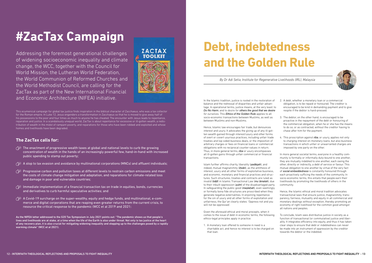



This ecumenical campaign for global tax justice finds inspiration in the biblical character of Zacchaeus, who was a tax collector for the Roman empire. In Luke 12, Jesus engenders a transformation in Zacchaeus so that he is moved to give away half of his possessions to the poor and four times as much to anyone he has cheated. The encounter with Jesus leads to repentance, reparation and justice. In a scandalously unequal world, ZacTax is about repentance for excessive or ill-gotten wealth, a redistribution of wealth in the midst of rampant poverty, and reparations for those who have been robbed and exploited and whose homes and livelihoods have been degraded.

### **The ZacTax calls for:**

- $\overrightarrow{f}$  The enactment of progressive wealth taxes at global and national levels to curb the growing concentration of wealth in the hands of an increasingly powerful few, hand-in-hand with increased public spending to stamp out poverty;
- $\sqrt{2}$ . A stop to tax evasion and avoidance by multinational corporations (MNCs) and affluent individuals;
- $\sqrt{2}$ . Progressive carbon and pollution taxes at different levels to restrain carbon emissions and meet the costs of climate change mitigation and adaptation, and reparations for climate-related loss and damage in poor and vulnerable countries;
- $\overrightarrow{f}$  Immediate implementation of a financial transaction tax on trade in equities, bonds, currencies and derivatives to curb harmful speculative activities; and
- $\sqrt{2}$ . A Covid-19 surcharge on the super-wealthy, equity and hedge funds, and multinational, e-commerce and digital corporations that are reaping even greater returns from the current crisis, to resource the critical response to the pandemic (WCC et al 2019 and 2021).

As the NIFEA letter addressed to the G20 Tax Symposium in July 2021 points out: "The pandemic shows us that people's lives and livelihoods are at stake, at a time when the life of the Earth is also under threat. Not only is tax justice at the heart of any recovery plan, it is also crucial for mitigating widening inequality and stepping up to the challenges posed by a rapidly warming climate" (WCC et al 2021).

In the Islamic tradition, justice is rooted in the restoration of balance and the redressal of disparities and unfair advantage. In operational terms, justice means, at the very least: to *Do No Harm*, and to *desire for others the good that we desire for ourselves*. This *Ethics of the Golden Rule* applies to all socio-economic transactions between Muslims, as well as between Muslims and non-Muslims.

Hence, Islamic law encourages fair trade, but denounces interest and usury. It advocates the giving up of any ill-gotten wealth gained through interest/usury and other forms of overt or covert usurious practices, including unfair trade treaties and lop-sided business deals, or the imposition of arbitrary charges or fees on financial loans or commercial obligations with no reciprocal counter-values in return. Thus, in more general terms, *riba* or usury encompasses all ill-gotten gains through unfair commercial or financial transactions.

Islam further affirms charity, liberality (*ṣadāqah*), and indeed, mutual magnanimity (*iḥsān*), as the antithesis of interest, usury and all other forms of exploitative business, and economic, monetary and financial practices and structures. Such structures, treaties and contracts are ruled as invalid (*bāṭil*) in Islamic Transactional Law (*muʿāmalah*), due to their inbuilt oppression (*ẓulm*) of the disadvantaged party. In safeguarding the public good (*maṣlaḥah*), even seemingly or formally bona fide structures are proscribed when they generate negative externalities. In enjoining repentance for the sin of usury and all other forms of exploitation and unfairness, the Qur'an clearly states: 'Oppress not and you will not be oppressed'.

Given the aforesaid ethical and moral precepts, when it comes to the issue of debt in economic terms, the following ethico-legal principles apply in practice:

1. A monetary loan offered to someone in need is a charitable act, and hence no interest is to be charged on that loan.

- 2. A debt, whether a monetary loan or a commercial obligation, is to be repaid or honoured. The creditor is encouraged to be kind in demanding payment and to give respite if the debtor is hard-pressed.
- 3. The debtor, on the other hand, is encouraged to be proactive in the repayment of the debt or honouring of the commercial obligation, when he or she has the means to do so, or as contracted, without the creditor having to chase after him for the payment.
- 4. This proscription against *riba*, or usury, applies not only to charging interest on monetary loans, but also business transactions in which unfair or unwarranted charges are imposed by one party on the other.

In more general societal terms, everyone in a healthy community is formally or informally duty-bound to one another, they are mutually indebted to one another, each owing the other, directly or indirectly, a debt of service or favour. This mutual obligation to one another by virtue of the very fact of *social embeddedness* is constantly honoured through each proactively sufficing the needs of the community. In socio-economic terms, this entails that people earn their livelihoods by promoting the livelihoods of others in the community.

Hence, the Islamic ethical and moral tradition advocates transactional laws that ensure justice, magnanimity, transparency, fairness, mutuality and equity in all commercial and monetary dealings without exception, thereby promoting an economy of right livelihood for the common good amongst all nations and peoples.

To conclude, Islam sees distributive justice in society as a function of transactional (or commutative) justice and liberality. It integrates efficiency into equity, and thus it has taken clear steps to ensure that debt or indebtedness can never be made into an instrument of oppression by the creditor towards the debtor or the indebted.

# **Debt, indebtedness and the Golden Rule**

*By Dr Adi Setia, Institute for Regenerative Livelihoods (IRL), Malaysia*

# **#ZacTax Campaign**

Addressing the foremost generational challenges of widening socioeconomic inequality and climate change, the WCC, together with the Council for World Mission, the Lutheran World Federation, the World Communion of Reformed Churches and the World Methodist Council, are calling for the ZacTax as part of the New International Financial and Economic Architecture (NIFEA) initiative.

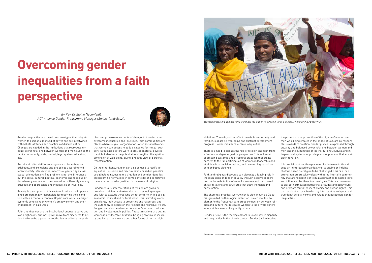Gender inequalities are based on stereotypes that relegate women to positions deprived of power and are intertwined with beliefs, attitudes and practices of discrimination. Changes are needed in the institutions that reproduce unequal power relations between women and men, such as the family, community, state, market, legal system, education, etc.

Social and cultural differences generate hierarchies and privileges, and exclusions and prejudices according to different identity intersections, in terms of gender, age, class, sexual orientation, etc. The problem is not the differences, but the social, cultural, political, economic and religious order whereby women and men are valued differently, causing privilege and oppression, and inequalities or injustices.

Poverty is a symptom of this system, in which the impoverished are personally responsible for resolving their condition within a market economy. Unpaid care work is a major systemic constraint on women's empowerment and their engagement in paid work.

Faith and theology are the inspirational energy to serve and love neighbours; but mostly will move from discourse to action; faith can be a powerful motivation to address inequalities, and provoke movements of change, to transform and overcome inequalities and injustices. Faith communities are places where religious organisations offer social networks that women can access to build strategies for mutual support. Faith-based actors work to provide material development, but also have the potential to strengthen the spiritual dimension of well-being, giving a holistic view of personal transformation.

On the other hand, religion can also be used to justify inequalities. Exclusion and discrimination based on people's social belonging, economic situation and gender identities are becoming normalised in some contexts; and sometimes these are practiced or justified in the name of religion.

Fundamentalist interpretations of religion are giving expression to violent and extremist practices using religion and faith to exclude those who do not conform with a social, economic, political and cultural order. This is limiting women's rights, their access to properties and resources, and the autonomy to decide on their sexual and reproductive life. Religion can also be a barrier to women's access to education and involvement in politics. These limitations are putting women in a vulnerable situation, bringing physical insecurity, and increasing violence and other forms of human rights

# **Overcoming gender inequalities from a faith perspective**

violations. These injustices affect the whole community and families, jeopardise well-being and obstruct development progress. Power imbalances create inequalities.

There is a need to discuss the role of religion and faith from a feminist and gender justice perspective. This will entail addressing systemic and structural practices that create barriers to the full participation of women in leadership and at all levels of decision making, and overcoming sexual and gender-based violence.

Faith and religious discourse can also play a leading role in the discussion of gender equality through positive cooperation on the redefinition of roles for women and men based on fair relations and structures that allow inclusion and participation.

The churches' practical work, which is also known as Diaconia, grounded on theological reflection, is a critical tool to dismantle the frequently dangerous connection between religion and culture that relegates women to the private sphere where violence most frequently occurs.

Gender justice is the theological tool to unveil power disparity and inequalities in the church context. Gender justice implies

the protection and promotion of the dignity of women and men who, being created in the image of God, are co-responsible stewards of creation. Gender justice is expressed through equality and balanced power relations between women and men and the elimination of the institutional, cultural and interpersonal systems of privilege and oppression that sustain discrimination.1

It is crucial to strengthen partnerships between faith and secular rights-based organisations, to enable anti-rights rhetoric based on religion to be challenged. This can then strengthen progressive voices within the interfaith community that are rooted in contextual approaches to sacred texts and influenced by liberation theologies. This is a movement to disrupt normalised patriarchal attitudes and behaviours, and promote mutual respect, dignity and human rights. This can tackle structural barriers by interrogating religious and traditional beliefs, norms and values that perpetuate gender inequalities.

*By Rev. Dr Elaine Neuenfeldt, ACT Alliance Gender Programme Manager (Switzerland/Brazil)*





*Women protesting against female genital mutilation in Siraro in Arsi, Ethiopia. Photo: Hilina Abebe/NCA.*

<sup>1</sup> From the LWF Gender Justice Policy. Available at: http://www.lutheranworld.org/content/resource-lwf-gender-justice-policy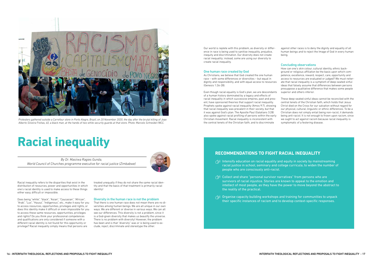Racial inequality refers to the disparities that exist in the distribution of resources, power and opportunities in which one's racial identity is used to make access to these things either easy, difficult or impossible.

Does being "white", "black", "Asian", "Caucasian", "African", "Arab", "Luo", "Hausa", "Indigenous", etc., make it easy for you to access resources, opportunities, privileges and rights, or does this identity make it difficult or even impossible for you to access these same resources, opportunities, privileges and rights? Do you think your professional competences and qualifications are only considered if someone with a different racial identity is not found for this opportunity or privilege? Racial inequality simply means that persons are

treated unequally if they do not share the same racial identity and that the basis of that treatment is primarily racial identity!

#### Diversity in the human race is not the problem

That there is one human race does not mean there are no diversities among human beings. We are all unique in our own ways. We are different or diverse in various ways. We can all see our differences. This diversity is not a problem, since it is a God-given diversity that makes us beautify the universe. There is no problem with diversity! However, the problem has been and is that "diversity" was or is being used to exclude, reject, discriminate and stereotype the other.

against other races is to deny the dignity and equality of all human beings and to reject the Image of God in every human being.

Our world is replete with this problem, as diversity or difference in race is being used to sanitise inequality, prejudice, inequity and discrimination. Our diversity does not create racial inequality; instead, some are using our diversity to create racial inequality.

### One human race created by God

As Christians, we believe that God created the one human race – with some differences or diversities – but equal in dignity and responsibility, and with equal access to resources (Genesis 1:26-28).

- $\sqrt{2}$ : Intensify education on racial equality and equity in society by mainstreaming racial justice in school, seminary and college curricula, to widen the number of people who are consciously anti-racist.
- $\sqrt{2\pi}$  Collect and share "personal survivor narratives" from persons who are survivors of racial injustice. Stories are known to appeal to the emotion and intellect of most people, as they have the power to move beyond the abstract to the reality of the practical.
- $\sqrt{\frac{1}{2N}}$  Organise capacity building workshops and training for communities to unpack their specific instances of racism and to develop context-specific responses.

#### Concluding observations

Even though racial equality is God's plan, we are descendants of a human history dominated by a legacy and effects of racial inequality in which successive empires, past and present, have sponsored theories that support racial inequality. Prophets spoke against racial inequality (Amos 9:7), showing that racial inequality was prevalent in their society, but that it was against God's plan. The Apostle Paul (Galatians 3:28) also spoke against racial profiling of persons within the early Christian movement. Racial inequality is inconsistent with the central tenets of the Christian faith, and to discriminate superior and others inferior. These deep-seated sinful ideas cannot be reconciled with the central tenets of the Christian faith, which holds that Jesus Christ died on the Cross for our salvation without regard for our physical, cultural, linguistic or ethnic differences. To be a Christian does not simply entail being non-racist, it demands being anti-racist. It is not enough to frown upon racism, since we ought to act against racism because racial inequality is symptomatic of a festering disease.

How can one's skin colour, cultural identity, ethnic background or religious affiliation be the basis upon which competence, excellence, reward, respect, care, opportunity and access to resources are evaluated or judged? We must reiterate that racial inequality is a symptom of deep-seated sinful ideas that falsely assume that differences between persons presuppose a qualitative difference that makes some people

### **Racial inequality**

*By Dr. Masiiwa Ragies Gunda, World Council of Churches programme executive for racial justice (Zimbabwe)*





*Protesters gathered outside a Carrefour store in Porto Alegre, Brazil, on 20 November 2020, the day after the brutal killing of Joao Alberto Silveira Freitas, 40, a black man, at the hands of two white security guards at that store. Photo: Marcelo Schneider/WCC.*

### **RECOMMENDATIONS TO FIGHT RACIAL INEQUALITY**